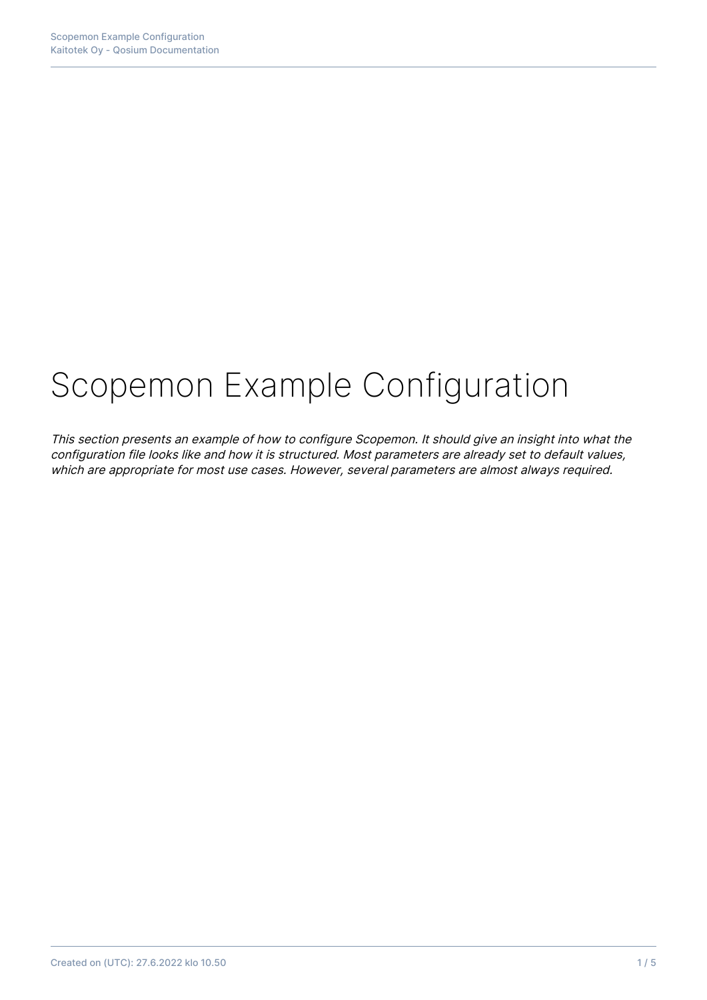# Scopemon Example Configuration

This section presents an example of how to configure Scopemon. It should give an insight into what the configuration file looks like and how it is structured. Most parameters are already set to default values, which are appropriate for most use cases. However, several parameters are almost always required.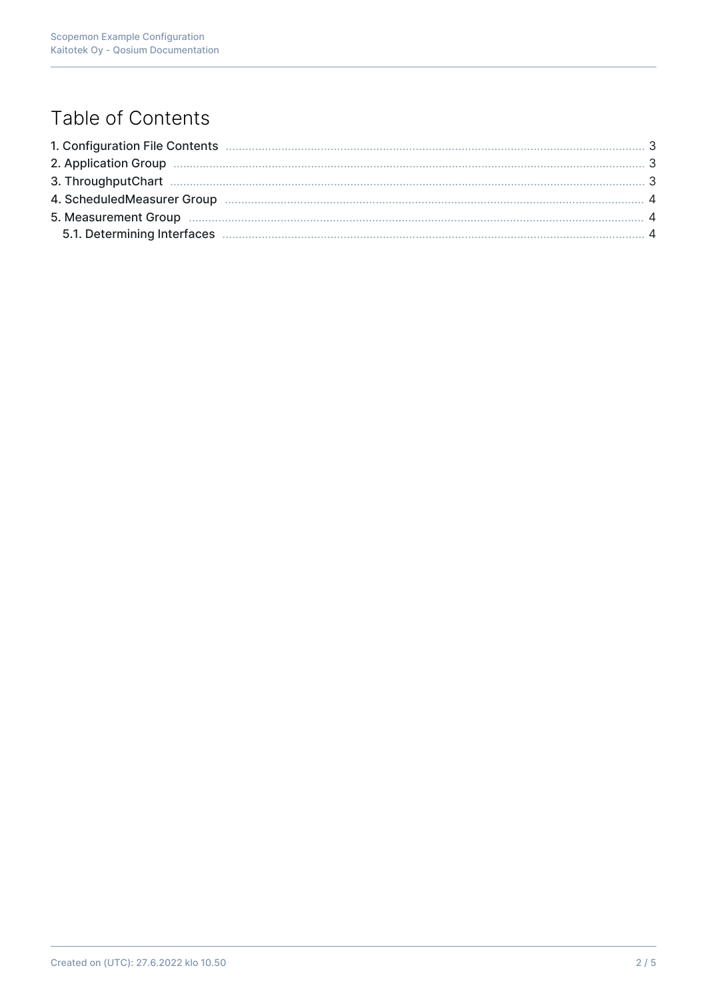# Table of Contents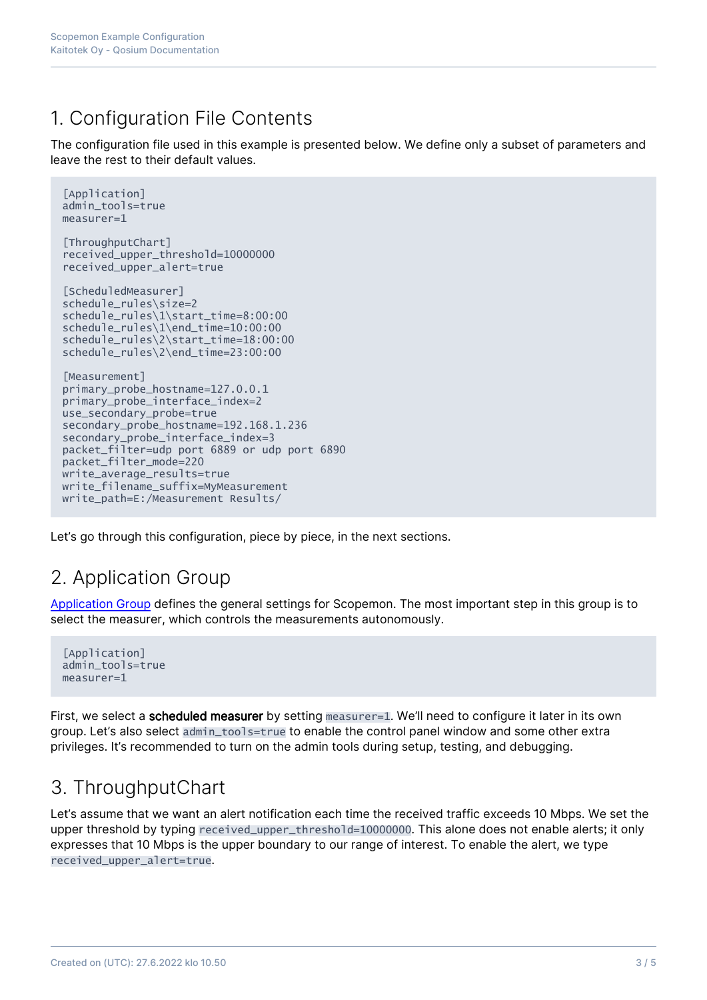### 1. Configuration File Contents

The configuration file used in this example is presented below. We define only a subset of parameters and leave the rest to their default values.

```
[Application]
admin_tools=true
maxsum-1[ThroughputChart]
received_upper_threshold=10000000
received_upper_alert=true
[ScheduledMeasurer]
schedule_rules\size=2
schedule_rules\1\start_time=8:00:00
schedule_rules\1\end_time=10:00:00
schedule_rules\2\start_time=18:00:00
schedule_rules\2\end_time=23:00:00
[Measurement]
primary_probe_hostname=127.0.0.1
primary_probe_interface_index=2
use_secondary_probe=true
secondary_probe_hostname=192.168.1.236
secondary_probe_interface_index=3
packet filter=udp port 6889 or udp port 6890
packet_filter_mode=220
write_average_results=true
write_filename_suffix=MyMeasurement
write_path=E:/Measurement Results/
```
Let's go through this configuration, piece by piece, in the next sections.

# 2. Application Group

[Application Group](https://kaitotek.com/fi/resources/documentation/scopemon/configuration/parameter-reference/application) defines the general settings for Scopemon. The most important step in this group is to select the measurer, which controls the measurements autonomously.

```
[Application]
admin_tools=true
measurer=1
```
First, we select a **scheduled measurer** by setting measurer=1. We'll need to configure it later in its own group. Let's also select admin\_tools=true to enable the control panel window and some other extra privileges. It's recommended to turn on the admin tools during setup, testing, and debugging.

# 3. ThroughputChart

Let's assume that we want an alert notification each time the received traffic exceeds 10 Mbps. We set the upper threshold by typing received\_upper\_threshold=10000000. This alone does not enable alerts; it only expresses that 10 Mbps is the upper boundary to our range of interest. To enable the alert, we type received\_upper\_alert=true.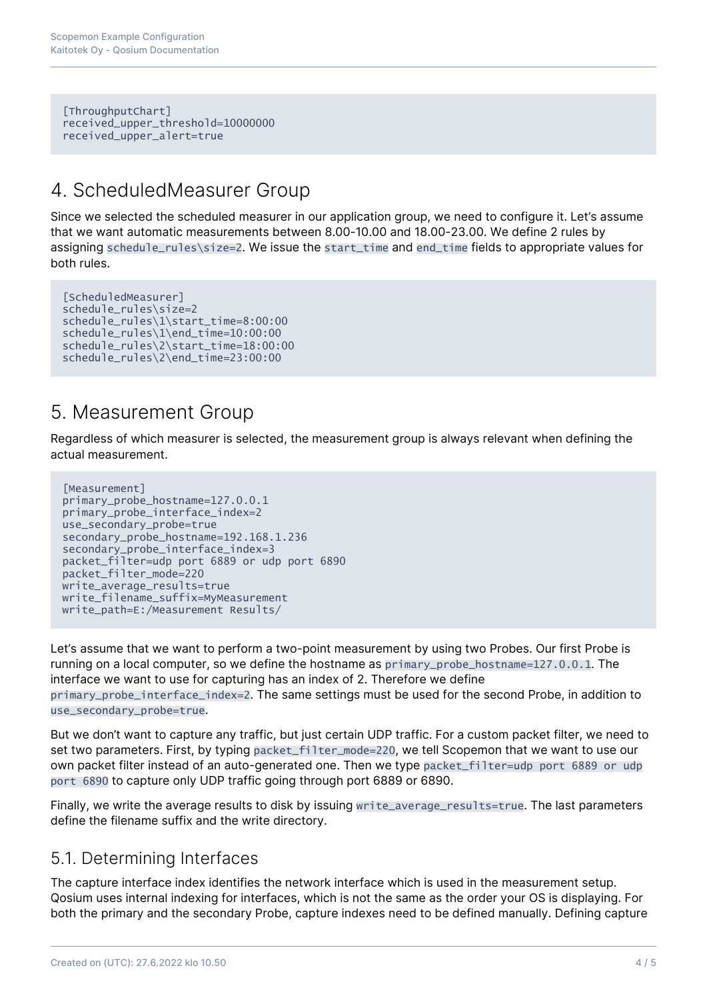[ThroughputChart] received\_upper\_threshold=10000000 received\_upper\_alert=true

#### 4. ScheduledMeasurer Group

Since we selected the scheduled measurer in our application group, we need to configure it. Let's assume that we want automatic measurements between 8.00-10.00 and 18.00-23.00. We define 2 rules by assigning schedule\_rules\size=2. We issue the start\_time and end\_time fields to appropriate values for both rules.

```
[ScheduledMeasurer]
schedule_rules\size=2
schedule_rules\1\start_time=8:00:00
schedule_rules\1\end_time=10:00:00
schedule_rules\2\start_time=18:00:00
schedule_rules\2\end_time=23:00:00
```
#### 5. Measurement Group

Regardless of which measurer is selected, the measurement group is always relevant when defining the actual measurement.

```
[Measurement]
primary_probe_hostname=127.0.0.1
primary_probe_interface_index=2
use_secondary_probe=true
secondary_probe_hostname=192.168.1.236
secondary_probe_interface_index=3
packet_filter=udp port 6889 or udp port 6890
packet_filter_mode=220
write_average_results=true
write_filename_suffix=MyMeasurement
write_path=E:/Measurement Results/
```
Let's assume that we want to perform a two-point measurement by using two Probes. Our first Probe is running on a local computer, so we define the hostname as primary\_probe\_hostname=127.0.0.1. The interface we want to use for capturing has an index of 2. Therefore we define primary\_probe\_interface\_index=2. The same settings must be used for the second Probe, in addition to use secondary probe=true.

But we don't want to capture any traffic, but just certain UDP traffic. For a custom packet filter, we need to set two parameters. First, by typing packet\_filter\_mode=220, we tell Scopemon that we want to use our own packet filter instead of an auto-generated one. Then we type packet\_filter=udp port 6889 or udp port 6890 to capture only UDP traffic going through port 6889 or 6890.

Finally, we write the average results to disk by issuing write\_average\_results=true. The last parameters define the filename suffix and the write directory.

#### 5.1. Determining Interfaces

The capture interface index identifies the network interface which is used in the measurement setup. Qosium uses internal indexing for interfaces, which is not the same as the order your OS is displaying. For both the primary and the secondary Probe, capture indexes need to be defined manually. Defining capture